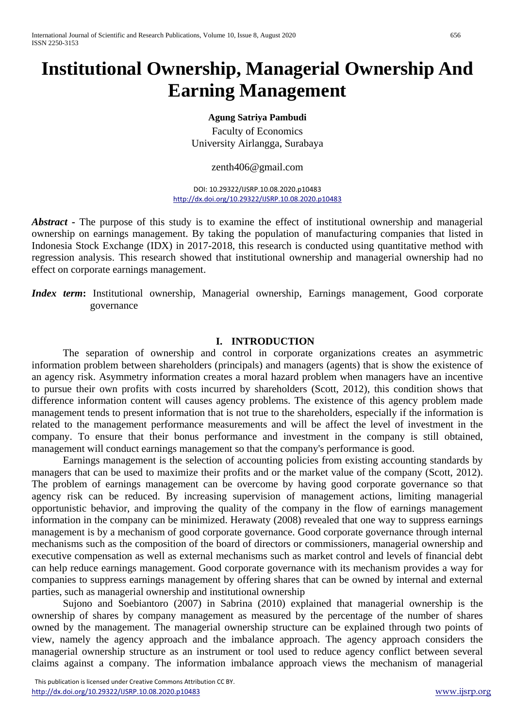# **Institutional Ownership, Managerial Ownership And Earning Management**

### **Agung Satriya Pambudi**

Faculty of Economics University Airlangga, Surabaya

#### [zenth406@gmail.com](mailto:zenth406@gmail.com)

DOI: 10.29322/IJSRP.10.08.2020.p10483 <http://dx.doi.org/10.29322/IJSRP.10.08.2020.p10483>

*Abstract* **-** The purpose of this study is to examine the effect of institutional ownership and managerial ownership on earnings management. By taking the population of manufacturing companies that listed in Indonesia Stock Exchange (IDX) in 2017-2018, this research is conducted using quantitative method with regression analysis. This research showed that institutional ownership and managerial ownership had no effect on corporate earnings management.

*Index term*: Institutional ownership, Managerial ownership, Earnings management, Good corporate governance

#### **I. INTRODUCTION**

The separation of ownership and control in corporate organizations creates an asymmetric information problem between shareholders (principals) and managers (agents) that is show the existence of an agency risk. Asymmetry information creates a moral hazard problem when managers have an incentive to pursue their own profits with costs incurred by shareholders (Scott, 2012), this condition shows that difference information content will causes agency problems. The existence of this agency problem made management tends to present information that is not true to the shareholders, especially if the information is related to the management performance measurements and will be affect the level of investment in the company. To ensure that their bonus performance and investment in the company is still obtained, management will conduct earnings management so that the company's performance is good.

Earnings management is the selection of accounting policies from existing accounting standards by managers that can be used to maximize their profits and or the market value of the company (Scott, 2012). The problem of earnings management can be overcome by having good corporate governance so that agency risk can be reduced. By increasing supervision of management actions, limiting managerial opportunistic behavior, and improving the quality of the company in the flow of earnings management information in the company can be minimized. Herawaty (2008) revealed that one way to suppress earnings management is by a mechanism of good corporate governance. Good corporate governance through internal mechanisms such as the composition of the board of directors or commissioners, managerial ownership and executive compensation as well as external mechanisms such as market control and levels of financial debt can help reduce earnings management. Good corporate governance with its mechanism provides a way for companies to suppress earnings management by offering shares that can be owned by internal and external parties, such as managerial ownership and institutional ownership

Sujono and Soebiantoro (2007) in Sabrina (2010) explained that managerial ownership is the ownership of shares by company management as measured by the percentage of the number of shares owned by the management. The managerial ownership structure can be explained through two points of view, namely the agency approach and the imbalance approach. The agency approach considers the managerial ownership structure as an instrument or tool used to reduce agency conflict between several claims against a company. The information imbalance approach views the mechanism of managerial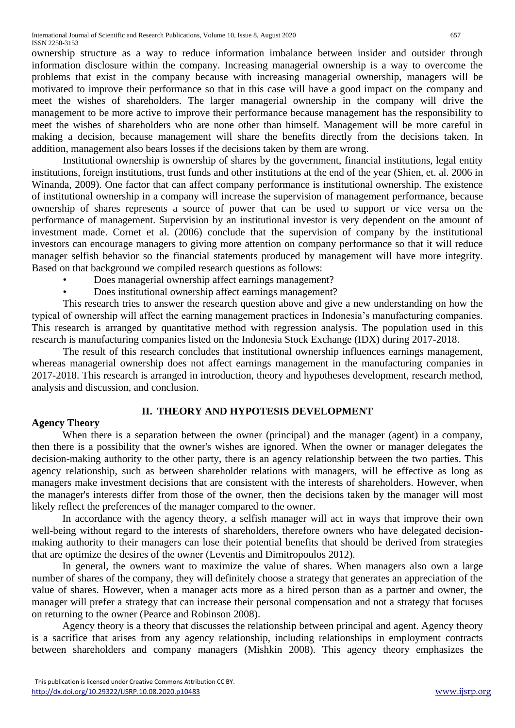ownership structure as a way to reduce information imbalance between insider and outsider through information disclosure within the company. Increasing managerial ownership is a way to overcome the problems that exist in the company because with increasing managerial ownership, managers will be motivated to improve their performance so that in this case will have a good impact on the company and meet the wishes of shareholders. The larger managerial ownership in the company will drive the management to be more active to improve their performance because management has the responsibility to meet the wishes of shareholders who are none other than himself. Management will be more careful in making a decision, because management will share the benefits directly from the decisions taken. In addition, management also bears losses if the decisions taken by them are wrong.

Institutional ownership is ownership of shares by the government, financial institutions, legal entity institutions, foreign institutions, trust funds and other institutions at the end of the year (Shien, et. al. 2006 in Winanda, 2009). One factor that can affect company performance is institutional ownership. The existence of institutional ownership in a company will increase the supervision of management performance, because ownership of shares represents a source of power that can be used to support or vice versa on the performance of management. Supervision by an institutional investor is very dependent on the amount of investment made. Cornet et al. (2006) conclude that the supervision of company by the institutional investors can encourage managers to giving more attention on company performance so that it will reduce manager selfish behavior so the financial statements produced by management will have more integrity. Based on that background we compiled research questions as follows:

- Does managerial ownership affect earnings management?
- Does institutional ownership affect earnings management?

This research tries to answer the research question above and give a new understanding on how the typical of ownership will affect the earning management practices in Indonesia's manufacturing companies. This research is arranged by quantitative method with regression analysis. The population used in this research is manufacturing companies listed on the Indonesia Stock Exchange (IDX) during 2017-2018.

The result of this research concludes that institutional ownership influences earnings management, whereas managerial ownership does not affect earnings management in the manufacturing companies in 2017-2018. This research is arranged in introduction, theory and hypotheses development, research method, analysis and discussion, and conclusion.

# **II. THEORY AND HYPOTESIS DEVELOPMENT**

## **Agency Theory**

When there is a separation between the owner (principal) and the manager (agent) in a company, then there is a possibility that the owner's wishes are ignored. When the owner or manager delegates the decision-making authority to the other party, there is an agency relationship between the two parties. This agency relationship, such as between shareholder relations with managers, will be effective as long as managers make investment decisions that are consistent with the interests of shareholders. However, when the manager's interests differ from those of the owner, then the decisions taken by the manager will most likely reflect the preferences of the manager compared to the owner.

In accordance with the agency theory, a selfish manager will act in ways that improve their own well-being without regard to the interests of shareholders, therefore owners who have delegated decisionmaking authority to their managers can lose their potential benefits that should be derived from strategies that are optimize the desires of the owner (Leventis and Dimitropoulos 2012).

In general, the owners want to maximize the value of shares. When managers also own a large number of shares of the company, they will definitely choose a strategy that generates an appreciation of the value of shares. However, when a manager acts more as a hired person than as a partner and owner, the manager will prefer a strategy that can increase their personal compensation and not a strategy that focuses on returning to the owner (Pearce and Robinson 2008).

Agency theory is a theory that discusses the relationship between principal and agent. Agency theory is a sacrifice that arises from any agency relationship, including relationships in employment contracts between shareholders and company managers (Mishkin 2008). This agency theory emphasizes the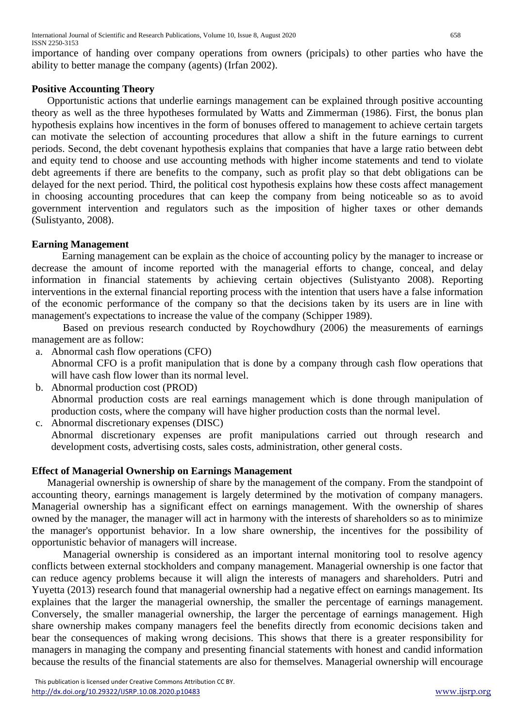importance of handing over company operations from owners (pricipals) to other parties who have the ability to better manage the company (agents) (Irfan 2002).

## **Positive Accounting Theory**

Opportunistic actions that underlie earnings management can be explained through positive accounting theory as well as the three hypotheses formulated by Watts and Zimmerman (1986). First, the bonus plan hypothesis explains how incentives in the form of bonuses offered to management to achieve certain targets can motivate the selection of accounting procedures that allow a shift in the future earnings to current periods. Second, the debt covenant hypothesis explains that companies that have a large ratio between debt and equity tend to choose and use accounting methods with higher income statements and tend to violate debt agreements if there are benefits to the company, such as profit play so that debt obligations can be delayed for the next period. Third, the political cost hypothesis explains how these costs affect management in choosing accounting procedures that can keep the company from being noticeable so as to avoid government intervention and regulators such as the imposition of higher taxes or other demands (Sulistyanto, 2008).

## **Earning Management**

Earning management can be explain as the choice of accounting policy by the manager to increase or decrease the amount of income reported with the managerial efforts to change, conceal, and delay information in financial statements by achieving certain objectives (Sulistyanto 2008). Reporting interventions in the external financial reporting process with the intention that users have a false information of the economic performance of the company so that the decisions taken by its users are in line with management's expectations to increase the value of the company (Schipper 1989).

Based on previous research conducted by Roychowdhury (2006) the measurements of earnings management are as follow:

- a. Abnormal cash flow operations (CFO) Abnormal CFO is a profit manipulation that is done by a company through cash flow operations that will have cash flow lower than its normal level.
- b. Abnormal production cost (PROD) Abnormal production costs are real earnings management which is done through manipulation of production costs, where the company will have higher production costs than the normal level. c. Abnormal discretionary expenses (DISC)
	- Abnormal discretionary expenses are profit manipulations carried out through research and development costs, advertising costs, sales costs, administration, other general costs.

# **Effect of Managerial Ownership on Earnings Management**

Managerial ownership is ownership of share by the management of the company. From the standpoint of accounting theory, earnings management is largely determined by the motivation of company managers. Managerial ownership has a significant effect on earnings management. With the ownership of shares owned by the manager, the manager will act in harmony with the interests of shareholders so as to minimize the manager's opportunist behavior. In a low share ownership, the incentives for the possibility of opportunistic behavior of managers will increase.

Managerial ownership is considered as an important internal monitoring tool to resolve agency conflicts between external stockholders and company management. Managerial ownership is one factor that can reduce agency problems because it will align the interests of managers and shareholders. Putri and Yuyetta (2013) research found that managerial ownership had a negative effect on earnings management. Its explaines that the larger the managerial ownership, the smaller the percentage of earnings management. Conversely, the smaller managerial ownership, the larger the percentage of earnings management. High share ownership makes company managers feel the benefits directly from economic decisions taken and bear the consequences of making wrong decisions. This shows that there is a greater responsibility for managers in managing the company and presenting financial statements with honest and candid information because the results of the financial statements are also for themselves. Managerial ownership will encourage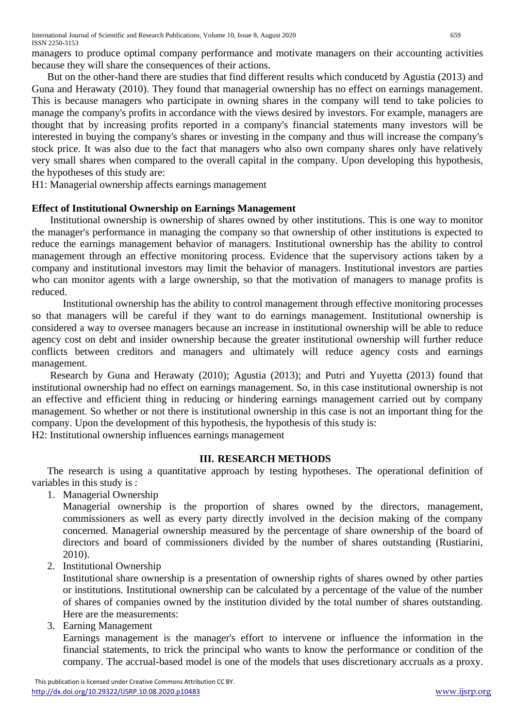managers to produce optimal company performance and motivate managers on their accounting activities because they will share the consequences of their actions.

But on the other-hand there are studies that find different results which conducetd by Agustia (2013) and Guna and Herawaty (2010). They found that managerial ownership has no effect on earnings management. This is because managers who participate in owning shares in the company will tend to take policies to manage the company's profits in accordance with the views desired by investors. For example, managers are thought that by increasing profits reported in a company's financial statements many investors will be interested in buying the company's shares or investing in the company and thus will increase the company's stock price. It was also due to the fact that managers who also own company shares only have relatively very small shares when compared to the overall capital in the company. Upon developing this hypothesis, the hypotheses of this study are:

H1: Managerial ownership affects earnings management

## **Effect of Institutional Ownership on Earnings Management**

Institutional ownership is ownership of shares owned by other institutions. This is one way to monitor the manager's performance in managing the company so that ownership of other institutions is expected to reduce the earnings management behavior of managers. Institutional ownership has the ability to control management through an effective monitoring process. Evidence that the supervisory actions taken by a company and institutional investors may limit the behavior of managers. Institutional investors are parties who can monitor agents with a large ownership, so that the motivation of managers to manage profits is reduced.

Institutional ownership has the ability to control management through effective monitoring processes so that managers will be careful if they want to do earnings management. Institutional ownership is considered a way to oversee managers because an increase in institutional ownership will be able to reduce agency cost on debt and insider ownership because the greater institutional ownership will further reduce conflicts between creditors and managers and ultimately will reduce agency costs and earnings management.

Research by Guna and Herawaty (2010); Agustia (2013); and Putri and Yuyetta (2013) found that institutional ownership had no effect on earnings management. So, in this case institutional ownership is not an effective and efficient thing in reducing or hindering earnings management carried out by company management. So whether or not there is institutional ownership in this case is not an important thing for the company. Upon the development of this hypothesis, the hypothesis of this study is:

H2: Institutional ownership influences earnings management

## **III. RESEARCH METHODS**

The research is using a quantitative approach by testing hypotheses. The operational definition of variables in this study is :

1. Managerial Ownership

Managerial ownership is the proportion of shares owned by the directors, management, commissioners as well as every party directly involved in the decision making of the company concerned. Managerial ownership measured by the percentage of share ownership of the board of directors and board of commissioners divided by the number of shares outstanding (Rustiarini, 2010).

2. Institutional Ownership

Institutional share ownership is a presentation of ownership rights of shares owned by other parties or institutions. Institutional ownership can be calculated by a percentage of the value of the number of shares of companies owned by the institution divided by the total number of shares outstanding. Here are the measurements:

3. Earning Management

Earnings management is the manager's effort to intervene or influence the information in the financial statements, to trick the principal who wants to know the performance or condition of the company. The accrual-based model is one of the models that uses discretionary accruals as a proxy.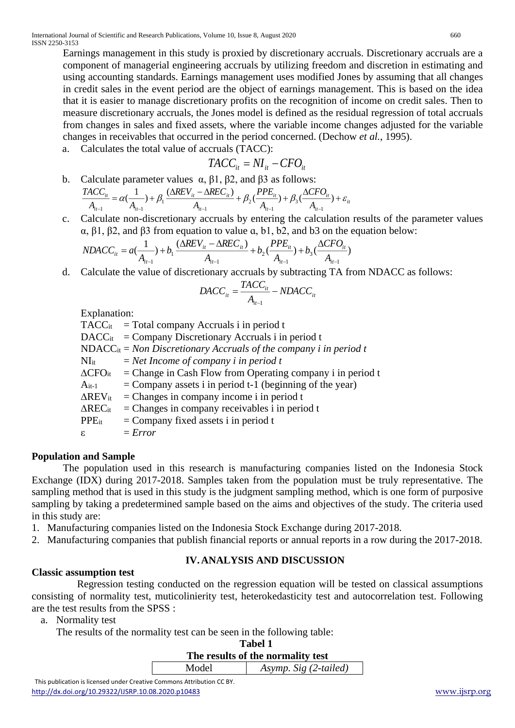Earnings management in this study is proxied by discretionary accruals. Discretionary accruals are a component of managerial engineering accruals by utilizing freedom and discretion in estimating and using accounting standards. Earnings management uses modified Jones by assuming that all changes in credit sales in the event period are the object of earnings management. This is based on the idea that it is easier to manage discretionary profits on the recognition of income on credit sales. Then to measure discretionary accruals, the Jones model is defined as the residual regression of total accruals from changes in sales and fixed assets, where the variable income changes adjusted for the variable changes in receivables that occurred in the period concerned. (Dechow *et al.*, 1995).

a. Calculates the total value of accruals (TACC):

$$
TACC_{it} = NI_{it} - CFO_{it}
$$

- b. Calculate parameter values  $\alpha$ ,  $\beta$ 1,  $\beta$ 2, and  $\beta$ 3 as follows: *i t i t*  $\frac{1}{it}$ *i t i t i t*  $\alpha$ ,  $\beta$ 1,  $\beta$ <br>*i<sub>t</sub>* -  $\triangle$ REC<sub>it</sub>  $\frac{CC_{it}}{A_{it-1}} = \alpha(\frac{1}{A_{it-1}}) + \beta_1 \frac{(\Delta REV_{it} - \Delta REC_{it})}{A_{it-1}} + \beta_2 (\frac{PPE_{it}}{A_{it-1}}) + \beta_3 (\frac{\Delta CA_{it}}{A_{it-1}})$ *i t CFO A PPE A*  $REV_{it} - \Delta REC$  $A_{i-1}$   $A_i$  $\frac{TACC_{ii}}{A} = \alpha(\frac{1}{\cdots}) + \beta_1 \frac{(\Delta REV_{ii} - \Delta REC_{ii})}{A} + \beta_2 (\frac{PPE_{ii}}{A}) + \beta_3 (\frac{\Delta CFO_{ii}}{A}) + \varepsilon$  $-1$   $\qquad \qquad$   $\qquad \qquad$   $\qquad \qquad$   $\qquad \qquad$   $\qquad \qquad$   $\qquad \qquad$   $\qquad \qquad$   $\qquad \qquad$   $\qquad \qquad$   $\qquad \qquad$   $\qquad \qquad$   $\qquad \qquad$   $\qquad \qquad$   $\qquad \qquad$   $\qquad \qquad$   $\qquad \qquad$   $\qquad$   $\qquad \qquad$   $\qquad$   $\qquad \qquad$   $\qquad$   $\qquad$   $\qquad$   $\qquad$   $\qquad$   $\qquad$   $\qquad$   $\frac{1}{(1-\cdot)} + \beta_1 \frac{(\Delta REV_{ii} - \Delta REC_{ii})}{(1-\cdot)} + \beta_2 \frac{(PPE_{ii})}{(1-\cdot)} + \beta_3 \frac{(\Delta CFO_{ii})}{(1-\cdot)}$ 1 3 1 2 1 1  $\mathbf{1}$   $\mathbf{1}_{it-1}$
- c. Calculate non-discretionary accruals by entering the calculation results of the parameter values α, β1, β2, and β3 from equation to value ɑ, b1, b2, and b3 on the equation below:

$$
NDAC_{it} = a(\frac{1}{A_{it-1}}) + b_1 \frac{(\Delta REV_{it} - \Delta REC_{it})}{A_{it-1}} + b_2 (\frac{PPE_{it}}{A_{it-1}}) + b_3 (\frac{\Delta CFO_{it}}{A_{it-1}})
$$

d. Calculate the value of discretionary accruals by subtracting TA from NDACC as follows:

$$
DACC_{it} = \frac{TACC_{it}}{A_{it-1}} - NDAC_{it}
$$

Explanation:

 $TACC<sub>it</sub> = Total company Accruals i in period t$  $DACC<sub>it</sub> = Company Discretionary Accruals i in period t$ NDACCit = *Non Discretionary Accruals of the company i in period t* NIit = *Net Income of company i in period t*  $\Delta$ CFO<sub>it</sub> = Change in Cash Flow from Operating company i in period t  $A_{it-1}$  = Company assets i in period t-1 (beginning of the year)  $\Delta$ REV<sub>it</sub> = Changes in company income i in period t  $\Delta \text{REC}_{it}$  = Changes in company receivables i in period t  $PPE_{it}$  = Company fixed assets i in period t  $\epsilon$  = *Error* 

## **Population and Sample**

The population used in this research is manufacturing companies listed on the Indonesia Stock Exchange (IDX) during 2017-2018. Samples taken from the population must be truly representative. The sampling method that is used in this study is the judgment sampling method, which is one form of purposive sampling by taking a predetermined sample based on the aims and objectives of the study. The criteria used in this study are:

- 1. Manufacturing companies listed on the Indonesia Stock Exchange during 2017-2018.
- 2. Manufacturing companies that publish financial reports or annual reports in a row during the 2017-2018.

## **IV.ANALYSIS AND DISCUSSION**

## **Classic assumption test**

 Regression testing conducted on the regression equation will be tested on classical assumptions consisting of normality test, muticolinierity test, heterokedasticity test and autocorrelation test. Following are the test results from the SPSS :

- a. Normality test
	- The results of the normality test can be seen in the following table:

| The results of the normality test |  |  |  |  |  |
|-----------------------------------|--|--|--|--|--|
| Asymp. Sig (2-tailed)             |  |  |  |  |  |
|                                   |  |  |  |  |  |

 This publication is licensed under Creative Commons Attribution CC BY. <http://dx.doi.org/10.29322/IJSRP.10.08.2020.p10483> [www.ijsrp.org](http://ijsrp.org/)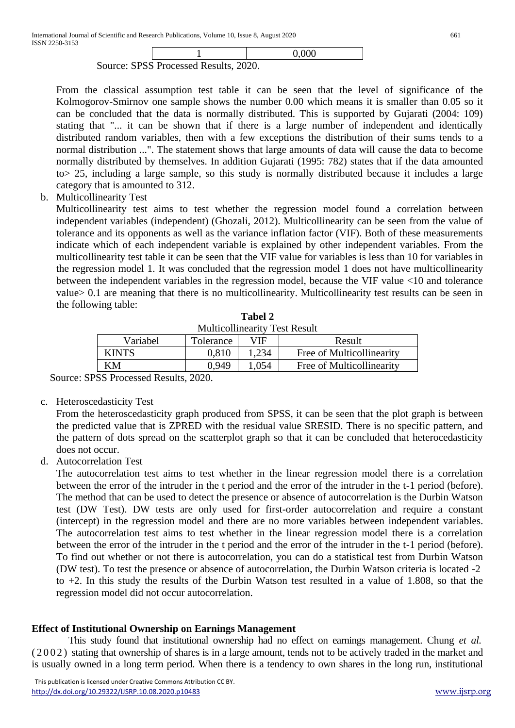|                                       |  | 0,000 |  |  |  |  |
|---------------------------------------|--|-------|--|--|--|--|
| Source: SPSS Processed Results, 2020. |  |       |  |  |  |  |

From the classical assumption test table it can be seen that the level of significance of the Kolmogorov-Smirnov one sample shows the number 0.00 which means it is smaller than 0.05 so it can be concluded that the data is normally distributed. This is supported by Gujarati (2004: 109) stating that "... it can be shown that if there is a large number of independent and identically distributed random variables, then with a few exceptions the distribution of their sums tends to a normal distribution ...". The statement shows that large amounts of data will cause the data to become normally distributed by themselves. In addition Gujarati (1995: 782) states that if the data amounted to> 25, including a large sample, so this study is normally distributed because it includes a large category that is amounted to 312.

b. Multicollinearity Test

Multicollinearity test aims to test whether the regression model found a correlation between independent variables (independent) (Ghozali, 2012). Multicollinearity can be seen from the value of tolerance and its opponents as well as the variance inflation factor (VIF). Both of these measurements indicate which of each independent variable is explained by other independent variables. From the multicollinearity test table it can be seen that the VIF value for variables is less than 10 for variables in the regression model 1. It was concluded that the regression model 1 does not have multicollinearity between the independent variables in the regression model, because the VIF value <10 and tolerance value> 0.1 are meaning that there is no multicollinearity. Multicollinearity test results can be seen in the following table:

| <b>Multicollinearity Test Result</b> |           |       |                           |  |  |  |
|--------------------------------------|-----------|-------|---------------------------|--|--|--|
| Variabel                             | Tolerance | VIF   | Result                    |  |  |  |
| <b>KINTS</b>                         | 0.810     | 1.234 | Free of Multicollinearity |  |  |  |
| KМ                                   | 0.949     | .054  | Free of Multicollinearity |  |  |  |
|                                      |           |       |                           |  |  |  |

**Tabel 2** Multicollinearity Test Result

Source: SPSS Processed Results, 2020.

c. Heteroscedasticity Test

From the heteroscedasticity graph produced from SPSS, it can be seen that the plot graph is between the predicted value that is ZPRED with the residual value SRESID. There is no specific pattern, and the pattern of dots spread on the scatterplot graph so that it can be concluded that heterocedasticity does not occur.

d. Autocorrelation Test

The autocorrelation test aims to test whether in the linear regression model there is a correlation between the error of the intruder in the t period and the error of the intruder in the t-1 period (before). The method that can be used to detect the presence or absence of autocorrelation is the Durbin Watson test (DW Test). DW tests are only used for first-order autocorrelation and require a constant (intercept) in the regression model and there are no more variables between independent variables. The autocorrelation test aims to test whether in the linear regression model there is a correlation between the error of the intruder in the t period and the error of the intruder in the t-1 period (before). To find out whether or not there is autocorrelation, you can do a statistical test from Durbin Watson (DW test). To test the presence or absence of autocorrelation, the Durbin Watson criteria is located -2 to +2. In this study the results of the Durbin Watson test resulted in a value of 1.808, so that the regression model did not occur autocorrelation.

## **Effect of Institutional Ownership on Earnings Management**

This study found that institutional ownership had no effect on earnings management. Chung *et al.* (2002) stating that ownership of shares is in a large amount, tends not to be actively traded in the market and is usually owned in a long term period. When there is a tendency to own shares in the long run, institutional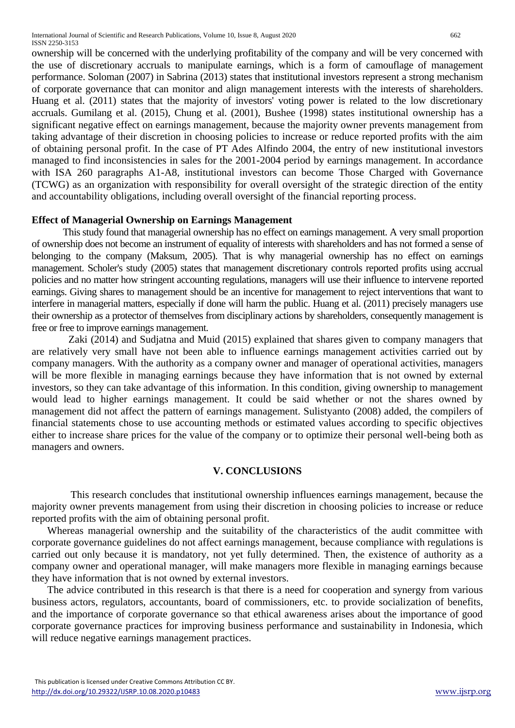ownership will be concerned with the underlying profitability of the company and will be very concerned with the use of discretionary accruals to manipulate earnings, which is a form of camouflage of management performance. Soloman (2007) in Sabrina (2013) states that institutional investors represent a strong mechanism of corporate governance that can monitor and align management interests with the interests of shareholders. Huang et al. (2011) states that the majority of investors' voting power is related to the low discretionary accruals. Gumilang et al. (2015), Chung et al. (2001), Bushee (1998) states institutional ownership has a significant negative effect on earnings management, because the majority owner prevents management from taking advantage of their discretion in choosing policies to increase or reduce reported profits with the aim of obtaining personal profit. In the case of PT Ades Alfindo 2004, the entry of new institutional investors managed to find inconsistencies in sales for the 2001-2004 period by earnings management. In accordance with ISA 260 paragraphs A1-A8, institutional investors can become Those Charged with Governance (TCWG) as an organization with responsibility for overall oversight of the strategic direction of the entity and accountability obligations, including overall oversight of the financial reporting process.

## **Effect of Managerial Ownership on Earnings Management**

This study found that managerial ownership has no effect on earnings management. A very small proportion of ownership does not become an instrument of equality of interests with shareholders and has not formed a sense of belonging to the company (Maksum, 2005). That is why managerial ownership has no effect on earnings management. Scholer's study (2005) states that management discretionary controls reported profits using accrual policies and no matter how stringent accounting regulations, managers will use their influence to intervene reported earnings. Giving shares to management should be an incentive for management to reject interventions that want to interfere in managerial matters, especially if done will harm the public. Huang et al. (2011) precisely managers use their ownership as a protector of themselves from disciplinary actions by shareholders, consequently management is free or free to improve earnings management.

Zaki (2014) and Sudjatna and Muid (2015) explained that shares given to company managers that are relatively very small have not been able to influence earnings management activities carried out by company managers. With the authority as a company owner and manager of operational activities, managers will be more flexible in managing earnings because they have information that is not owned by external investors, so they can take advantage of this information. In this condition, giving ownership to management would lead to higher earnings management. It could be said whether or not the shares owned by management did not affect the pattern of earnings management. Sulistyanto (2008) added, the compilers of financial statements chose to use accounting methods or estimated values according to specific objectives either to increase share prices for the value of the company or to optimize their personal well-being both as managers and owners.

## **V. CONCLUSIONS**

This research concludes that institutional ownership influences earnings management, because the majority owner prevents management from using their discretion in choosing policies to increase or reduce reported profits with the aim of obtaining personal profit.

Whereas managerial ownership and the suitability of the characteristics of the audit committee with corporate governance guidelines do not affect earnings management, because compliance with regulations is carried out only because it is mandatory, not yet fully determined. Then, the existence of authority as a company owner and operational manager, will make managers more flexible in managing earnings because they have information that is not owned by external investors.

The advice contributed in this research is that there is a need for cooperation and synergy from various business actors, regulators, accountants, board of commissioners, etc. to provide socialization of benefits, and the importance of corporate governance so that ethical awareness arises about the importance of good corporate governance practices for improving business performance and sustainability in Indonesia, which will reduce negative earnings management practices.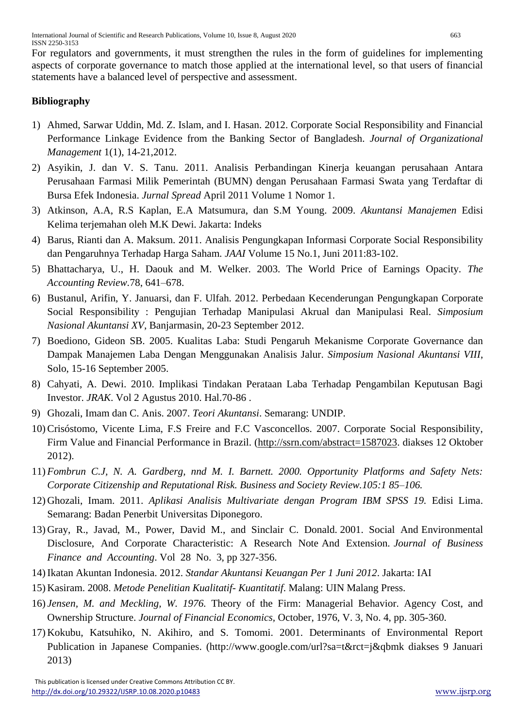For regulators and governments, it must strengthen the rules in the form of guidelines for implementing aspects of corporate governance to match those applied at the international level, so that users of financial statements have a balanced level of perspective and assessment.

# **Bibliography**

- 1) Ahmed, Sarwar Uddin, Md. Z. Islam, and I. Hasan. 2012. Corporate Social Responsibility and Financial Performance Linkage Evidence from the Banking Sector of Bangladesh. *Journal of Organizational Management* 1(1), 14-21,2012.
- 2) Asyikin, J. dan V. S. Tanu. 2011. Analisis Perbandingan Kinerja keuangan perusahaan Antara Perusahaan Farmasi Milik Pemerintah (BUMN) dengan Perusahaan Farmasi Swata yang Terdaftar di Bursa Efek Indonesia. *Jurnal Spread* April 2011 Volume 1 Nomor 1.
- 3) Atkinson, A.A, R.S Kaplan, E.A Matsumura, dan S.M Young. 2009. *Akuntansi Manajemen* Edisi Kelima terjemahan oleh M.K Dewi. Jakarta: Indeks
- 4) Barus, Rianti dan A. Maksum. 2011. Analisis Pengungkapan Informasi Corporate Social Responsibility dan Pengaruhnya Terhadap Harga Saham. *JAAI* Volume 15 No.1, Juni 2011:83-102.
- 5) Bhattacharya, U., H. Daouk and M. Welker. 2003. The World Price of Earnings Opacity. *The Accounting Review.*78, 641–678.
- 6) Bustanul, Arifin, Y. Januarsi, dan F. Ulfah. 2012. Perbedaan Kecenderungan Pengungkapan Corporate Social Responsibility : Pengujian Terhadap Manipulasi Akrual dan Manipulasi Real. *Simposium Nasional Akuntansi XV*, Banjarmasin, 20-23 September 2012.
- 7) Boediono, Gideon SB. 2005. Kualitas Laba: Studi Pengaruh Mekanisme Corporate Governance dan Dampak Manajemen Laba Dengan Menggunakan Analisis Jalur. *Simposium Nasional Akuntansi VIII*, Solo, 15-16 September 2005.
- 8) Cahyati, A. Dewi. 2010. Implikasi Tindakan Perataan Laba Terhadap Pengambilan Keputusan Bagi Investor. *JRAK*. Vol 2 Agustus 2010. Hal.70-86 .
- 9) Ghozali, Imam dan C. Anis. 2007. *Teori Akuntansi*. Semarang: UNDIP.
- 10) Crisóstomo, Vicente Lima, F.S Freire and F.C Vasconcellos. 2007. Corporate Social Responsibility, Firm Value and Financial Performance in Brazil. [\(http://ssrn.com/abstract=1587023.](http://ssrn.com/abstract=1587023) diakses 12 Oktober 2012).
- 11) *Fombrun C.J, N. A. Gardberg, nnd M. I. Barnett. 2000. Opportunity Platforms and Safety Nets: Corporate Citizenship and Reputational Risk. Business and Society Review.105:1 85–106.*
- 12) Ghozali, Imam. 2011. *Aplikasi Analisis Multivariate dengan Program IBM SPSS 19.* Edisi Lima. Semarang: Badan Penerbit Universitas Diponegoro.
- 13) Gray, R., Javad, M., Power, David M., and Sinclair C. Donald. 2001. Social And Environmental Disclosure, And Corporate Characteristic: A Research Note And Extension. *Journal of Business Finance and Accounting*. Vol 28 No. 3, pp 327-356.
- 14) Ikatan Akuntan Indonesia. 2012. *Standar Akuntansi Keuangan Per 1 Juni 2012*. Jakarta: IAI
- 15) Kasiram. 2008. *Metode Penelitian Kualitatif- Kuantitatif*. Malang: UIN Malang Press.
- 16) *Jensen, M. and Meckling, W. 1976.* Theory of the Firm: Managerial Behavior. Agency Cost, and Ownership Structure. *Journal of Financial Economics,* October, 1976, V. 3, No. 4, pp. 305-360.
- 17) Kokubu, Katsuhiko, N. Akihiro, and S. Tomomi. 2001. Determinants of Environmental Report Publication in Japanese Companies. (http://www.google.com/url?sa=t&rct=j&qbmk diakses 9 Januari 2013)